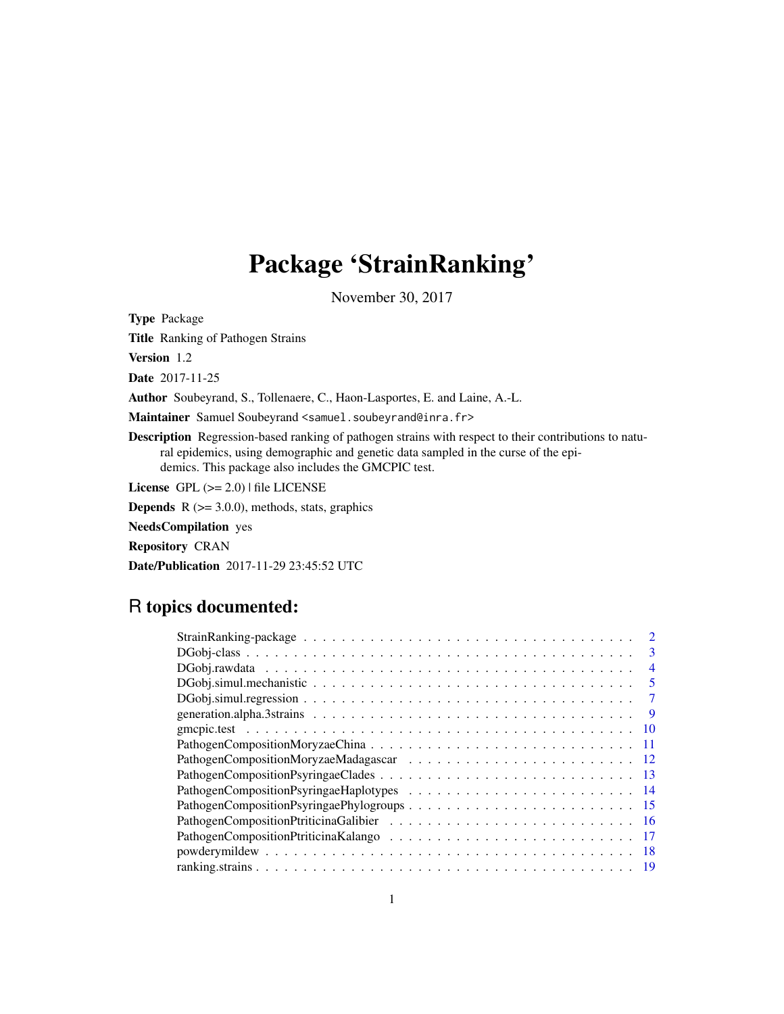# Package 'StrainRanking'

November 30, 2017

Type Package

Title Ranking of Pathogen Strains

Version 1.2

Date 2017-11-25

Author Soubeyrand, S., Tollenaere, C., Haon-Lasportes, E. and Laine, A.-L.

Maintainer Samuel Soubeyrand <samuel.soubeyrand@inra.fr>

Description Regression-based ranking of pathogen strains with respect to their contributions to natural epidemics, using demographic and genetic data sampled in the curse of the epidemics. This package also includes the GMCPIC test.

License GPL (>= 2.0) | file LICENSE

**Depends**  $R$  ( $>= 3.0.0$ ), methods, stats, graphics

NeedsCompilation yes

Repository CRAN

Date/Publication 2017-11-29 23:45:52 UTC

# R topics documented:

| $\mathcal{D}_{\mathcal{L}}$ |
|-----------------------------|
| 3                           |
| $\overline{4}$              |
| 5                           |
| 7                           |
| 9                           |
| -10                         |
|                             |
|                             |
|                             |
|                             |
|                             |
|                             |
|                             |
|                             |
|                             |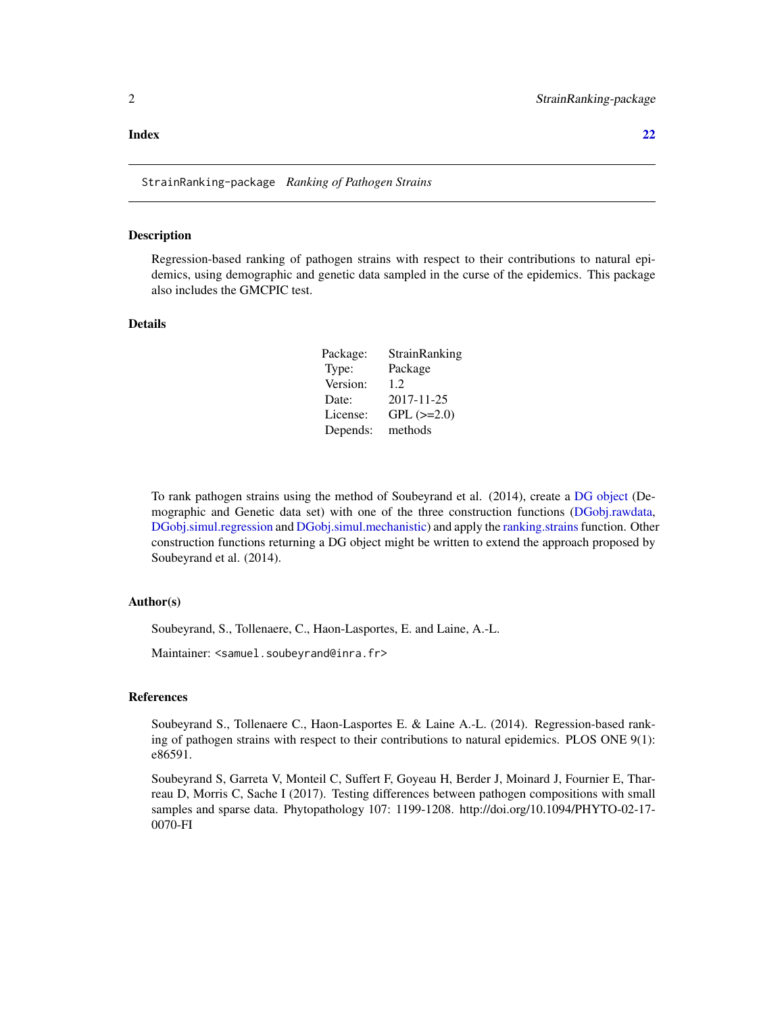#### <span id="page-1-0"></span>**Index** [22](#page-21-0)

StrainRanking-package *Ranking of Pathogen Strains*

#### Description

Regression-based ranking of pathogen strains with respect to their contributions to natural epidemics, using demographic and genetic data sampled in the curse of the epidemics. This package also includes the GMCPIC test.

# Details

| Package: | StrainRanking   |
|----------|-----------------|
| Type:    | Package         |
| Version: | 1.2.            |
| Date:    | 2017-11-25      |
| License: | $GPL$ $(>=2.0)$ |
| Depends: | methods         |

To rank pathogen strains using the method of Soubeyrand et al. (2014), create a [DG object](#page-2-1) (Demographic and Genetic data set) with one of the three construction functions [\(DGobj.rawdata,](#page-3-1) [DGobj.simul.regression](#page-6-1) and [DGobj.simul.mechanistic\)](#page-4-1) and apply the [ranking.strains](#page-18-1) function. Other construction functions returning a DG object might be written to extend the approach proposed by Soubeyrand et al. (2014).

# Author(s)

Soubeyrand, S., Tollenaere, C., Haon-Lasportes, E. and Laine, A.-L.

Maintainer: <samuel.soubeyrand@inra.fr>

# References

Soubeyrand S., Tollenaere C., Haon-Lasportes E. & Laine A.-L. (2014). Regression-based ranking of pathogen strains with respect to their contributions to natural epidemics. PLOS ONE 9(1): e86591.

Soubeyrand S, Garreta V, Monteil C, Suffert F, Goyeau H, Berder J, Moinard J, Fournier E, Tharreau D, Morris C, Sache I (2017). Testing differences between pathogen compositions with small samples and sparse data. Phytopathology 107: 1199-1208. http://doi.org/10.1094/PHYTO-02-17- 0070-FI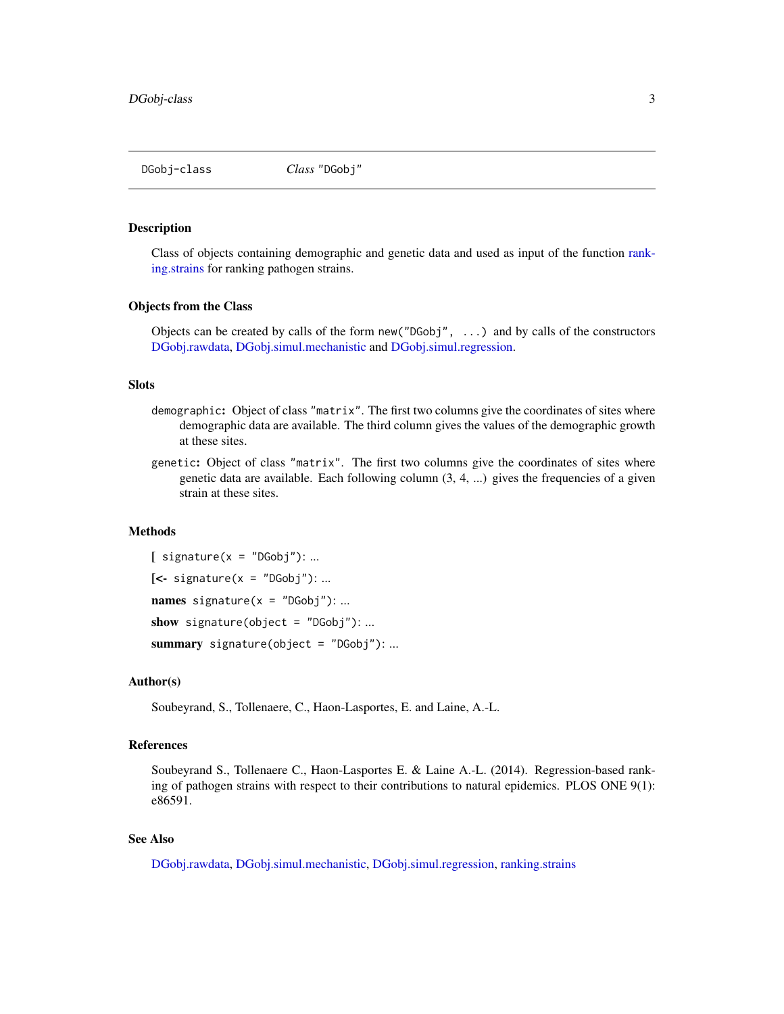<span id="page-2-2"></span><span id="page-2-0"></span>

#### <span id="page-2-1"></span>**Description**

Class of objects containing demographic and genetic data and used as input of the function [rank](#page-18-1)[ing.strains](#page-18-1) for ranking pathogen strains.

#### Objects from the Class

Objects can be created by calls of the form  $new("DGobj", \ldots)$  and by calls of the constructors [DGobj.rawdata,](#page-3-1) [DGobj.simul.mechanistic](#page-4-1) and [DGobj.simul.regression.](#page-6-1)

#### **Slots**

- demographic: Object of class "matrix". The first two columns give the coordinates of sites where demographic data are available. The third column gives the values of the demographic growth at these sites.
- genetic: Object of class "matrix". The first two columns give the coordinates of sites where genetic data are available. Each following column (3, 4, ...) gives the frequencies of a given strain at these sites.

#### Methods

 $[$  signature(x = "DGobj"): ...  $\left[ \left\langle -\right\rangle$  signature $(x =$  "DGobj"): ... **names** signature( $x = "DGobj")$ : ... show signature(object =  $"DGobj"$ ): ... summary signature(object =  $"DGobj"$ ): ...

#### Author(s)

Soubeyrand, S., Tollenaere, C., Haon-Lasportes, E. and Laine, A.-L.

#### References

Soubeyrand S., Tollenaere C., Haon-Lasportes E. & Laine A.-L. (2014). Regression-based ranking of pathogen strains with respect to their contributions to natural epidemics. PLOS ONE 9(1): e86591.

# See Also

[DGobj.rawdata,](#page-3-1) [DGobj.simul.mechanistic,](#page-4-1) [DGobj.simul.regression,](#page-6-1) [ranking.strains](#page-18-1)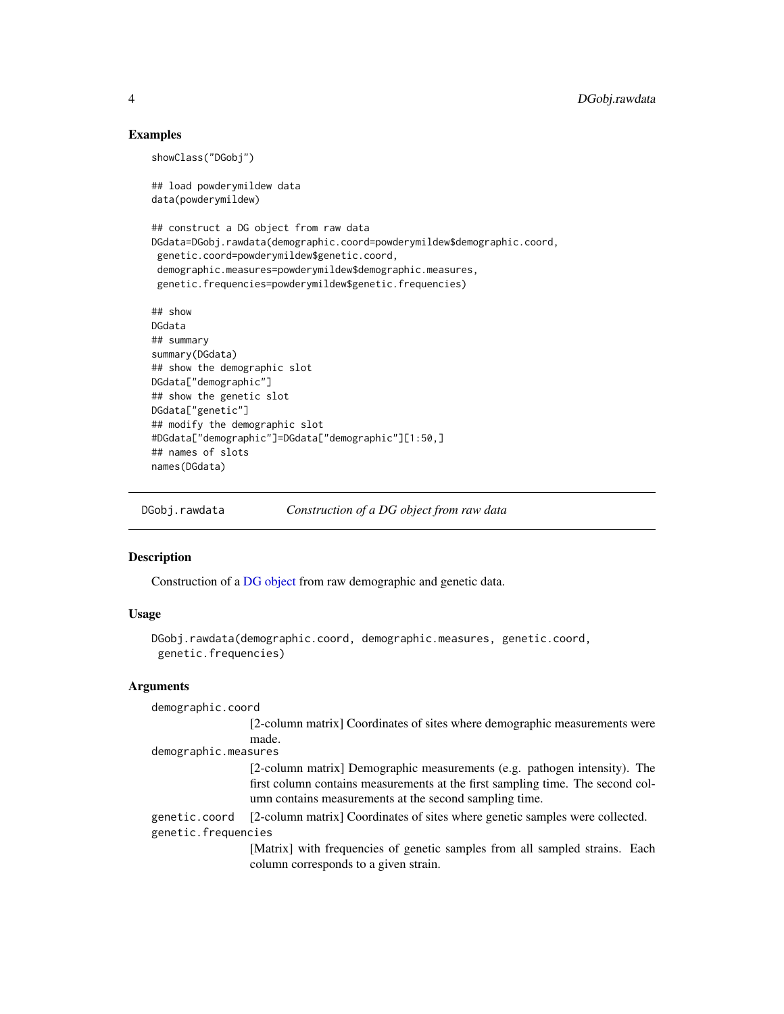#### Examples

showClass("DGobj")

## load powderymildew data data(powderymildew)

```
## construct a DG object from raw data
DGdata=DGobj.rawdata(demographic.coord=powderymildew$demographic.coord,
genetic.coord=powderymildew$genetic.coord,
demographic.measures=powderymildew$demographic.measures,
genetic.frequencies=powderymildew$genetic.frequencies)
```

```
## show
DGdata
## summary
summary(DGdata)
## show the demographic slot
DGdata["demographic"]
## show the genetic slot
DGdata["genetic"]
## modify the demographic slot
#DGdata["demographic"]=DGdata["demographic"][1:50,]
## names of slots
names(DGdata)
```
<span id="page-3-1"></span>DGobj.rawdata *Construction of a DG object from raw data*

#### **Description**

Construction of a [DG object](#page-2-1) from raw demographic and genetic data.

#### Usage

```
DGobj.rawdata(demographic.coord, demographic.measures, genetic.coord,
genetic.frequencies)
```
#### Arguments

demographic.coord [2-column matrix] Coordinates of sites where demographic measurements were made. demographic.measures [2-column matrix] Demographic measurements (e.g. pathogen intensity). The first column contains measurements at the first sampling time. The second column contains measurements at the second sampling time. genetic.coord [2-column matrix] Coordinates of sites where genetic samples were collected. genetic.frequencies [Matrix] with frequencies of genetic samples from all sampled strains. Each column corresponds to a given strain.

<span id="page-3-0"></span>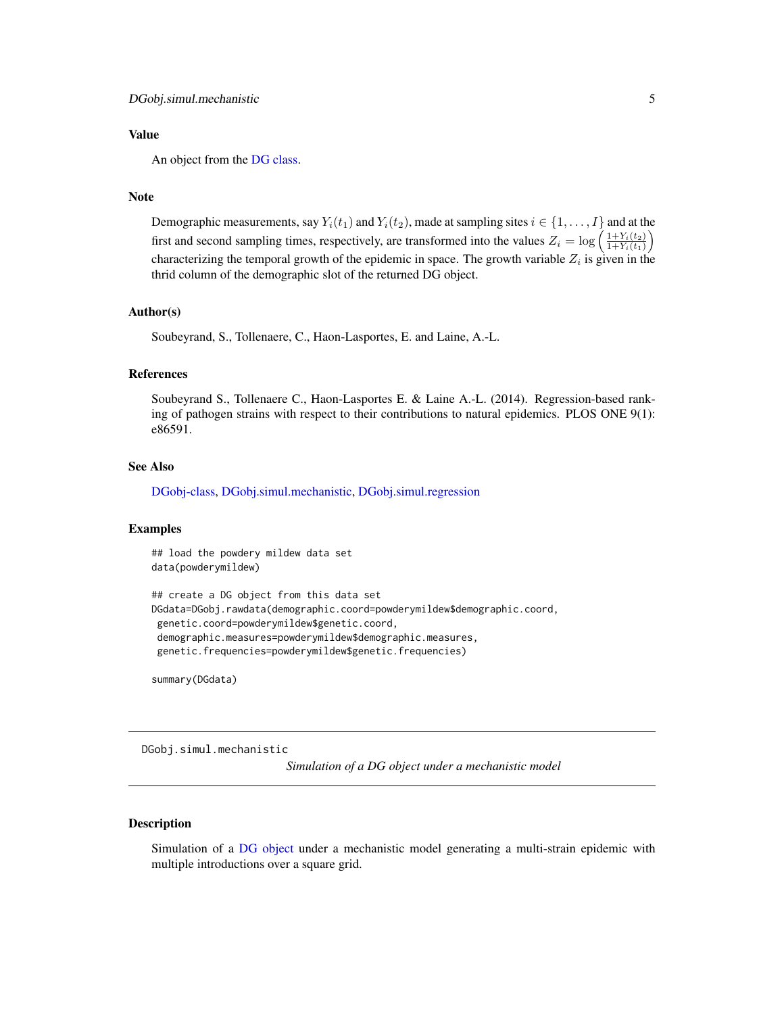# <span id="page-4-0"></span>Value

An object from the [DG class.](#page-2-1)

# Note

Demographic measurements, say  $Y_i(t_1)$  and  $Y_i(t_2)$ , made at sampling sites  $i \in \{1, \ldots, I\}$  and at the first and second sampling times, respectively, are transformed into the values  $Z_i = \log \left( \frac{1+Y_i(t_2)}{1+Y_i(t_1)} \right)$  $\frac{1+Y_i(t_2)}{1+Y_i(t_1)}\bigg)$ characterizing the temporal growth of the epidemic in space. The growth variable  $Z_i$  is given in the thrid column of the demographic slot of the returned DG object.

# Author(s)

Soubeyrand, S., Tollenaere, C., Haon-Lasportes, E. and Laine, A.-L.

#### References

Soubeyrand S., Tollenaere C., Haon-Lasportes E. & Laine A.-L. (2014). Regression-based ranking of pathogen strains with respect to their contributions to natural epidemics. PLOS ONE 9(1): e86591.

#### See Also

[DGobj-class,](#page-2-2) [DGobj.simul.mechanistic,](#page-4-1) [DGobj.simul.regression](#page-6-1)

#### Examples

```
## load the powdery mildew data set
data(powderymildew)
```

```
## create a DG object from this data set
DGdata=DGobj.rawdata(demographic.coord=powderymildew$demographic.coord,
genetic.coord=powderymildew$genetic.coord,
demographic.measures=powderymildew$demographic.measures,
 genetic.frequencies=powderymildew$genetic.frequencies)
```
summary(DGdata)

<span id="page-4-1"></span>DGobj.simul.mechanistic

*Simulation of a DG object under a mechanistic model*

# **Description**

Simulation of a [DG object](#page-2-1) under a mechanistic model generating a multi-strain epidemic with multiple introductions over a square grid.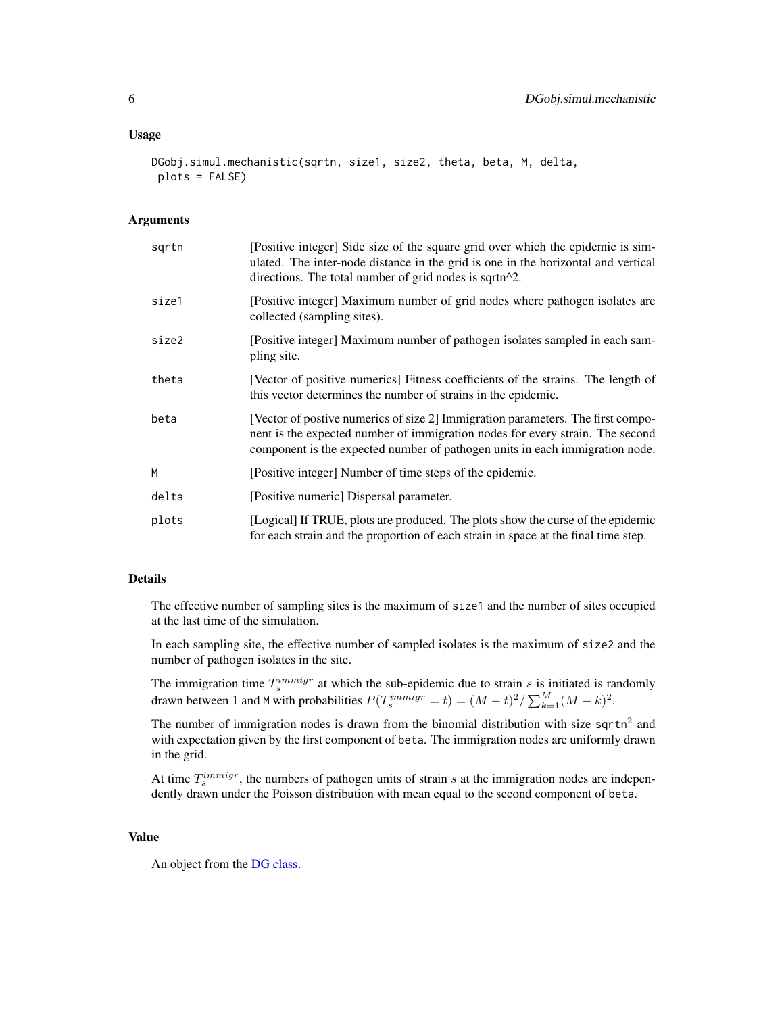```
DGobj.simul.mechanistic(sqrtn, size1, size2, theta, beta, M, delta,
plots = FALSE)
```
#### Arguments

| sqrtn | [Positive integer] Side size of the square grid over which the epidemic is sim-<br>ulated. The inter-node distance in the grid is one in the horizontal and vertical<br>directions. The total number of grid nodes is sqrtn^2.                   |
|-------|--------------------------------------------------------------------------------------------------------------------------------------------------------------------------------------------------------------------------------------------------|
| size1 | [Positive integer] Maximum number of grid nodes where pathogen isolates are<br>collected (sampling sites).                                                                                                                                       |
| size2 | [Positive integer] Maximum number of pathogen isolates sampled in each sam-<br>pling site.                                                                                                                                                       |
| theta | [Vector of positive numerics] Fitness coefficients of the strains. The length of<br>this vector determines the number of strains in the epidemic.                                                                                                |
| beta  | [Vector of postive numerics of size 2] Immigration parameters. The first compo-<br>nent is the expected number of immigration nodes for every strain. The second<br>component is the expected number of pathogen units in each immigration node. |
| M     | [Positive integer] Number of time steps of the epidemic.                                                                                                                                                                                         |
| delta | [Positive numeric] Dispersal parameter.                                                                                                                                                                                                          |
| plots | [Logical] If TRUE, plots are produced. The plots show the curse of the epidemic<br>for each strain and the proportion of each strain in space at the final time step.                                                                            |

# Details

The effective number of sampling sites is the maximum of size1 and the number of sites occupied at the last time of the simulation.

In each sampling site, the effective number of sampled isolates is the maximum of size2 and the number of pathogen isolates in the site.

The immigration time  $T_s^{immigr}$  at which the sub-epidemic due to strain s is initiated is randomly drawn between 1 and M with probabilities  $P(T_s^{immigr} = t) = (M - t)^2 / \sum_{k=1}^{M} (M - k)^2$ .

The number of immigration nodes is drawn from the binomial distribution with size sqrtn<sup>2</sup> and with expectation given by the first component of beta. The immigration nodes are uniformly drawn in the grid.

At time  $T_s^{immigr}$ , the numbers of pathogen units of strain s at the immigration nodes are independently drawn under the Poisson distribution with mean equal to the second component of beta.

# Value

An object from the [DG class.](#page-2-1)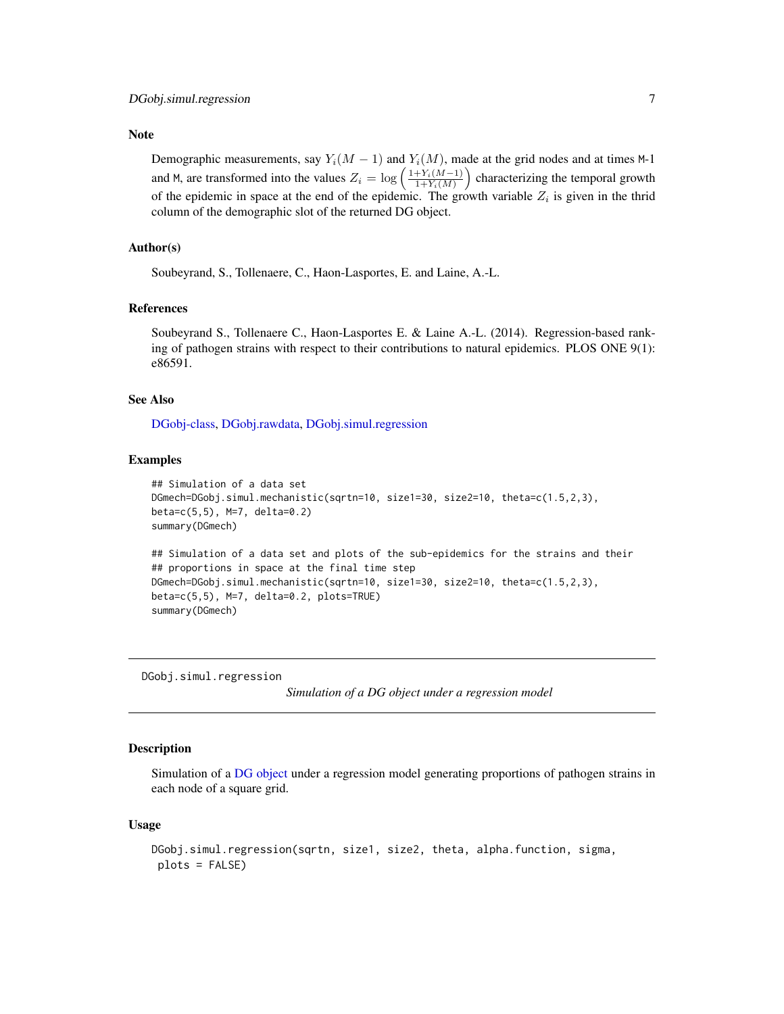#### <span id="page-6-0"></span>Note

Demographic measurements, say  $Y_i(M - 1)$  and  $Y_i(M)$ , made at the grid nodes and at times M-1 and M, are transformed into the values  $Z_i = \log \left( \frac{1 + Y_i(M-1)}{1 + Y_i(M)} \right)$  $\frac{+Y_i(M-1)}{1+Y_i(M)}$  characterizing the temporal growth of the epidemic in space at the end of the epidemic. The growth variable  $Z_i$  is given in the thrid column of the demographic slot of the returned DG object.

# Author(s)

Soubeyrand, S., Tollenaere, C., Haon-Lasportes, E. and Laine, A.-L.

#### References

Soubeyrand S., Tollenaere C., Haon-Lasportes E. & Laine A.-L. (2014). Regression-based ranking of pathogen strains with respect to their contributions to natural epidemics. PLOS ONE 9(1): e86591.

#### See Also

[DGobj-class,](#page-2-2) [DGobj.rawdata,](#page-3-1) [DGobj.simul.regression](#page-6-1)

#### Examples

```
## Simulation of a data set
DGmech=DGobj.simul.mechanistic(sqrtn=10, size1=30, size2=10, theta=c(1.5,2,3),
beta=c(5,5), M=7, delta=0.2)
summary(DGmech)
## Simulation of a data set and plots of the sub-epidemics for the strains and their
## proportions in space at the final time step
DGmech=DGobj.simul.mechanistic(sqrtn=10, size1=30, size2=10, theta=c(1.5,2,3),
beta=c(5,5), M=7, delta=0.2, plots=TRUE)
summary(DGmech)
```
<span id="page-6-1"></span>DGobj.simul.regression

*Simulation of a DG object under a regression model*

#### **Description**

Simulation of a [DG object](#page-2-1) under a regression model generating proportions of pathogen strains in each node of a square grid.

#### Usage

```
DGobj.simul.regression(sqrtn, size1, size2, theta, alpha.function, sigma,
plots = FALSE)
```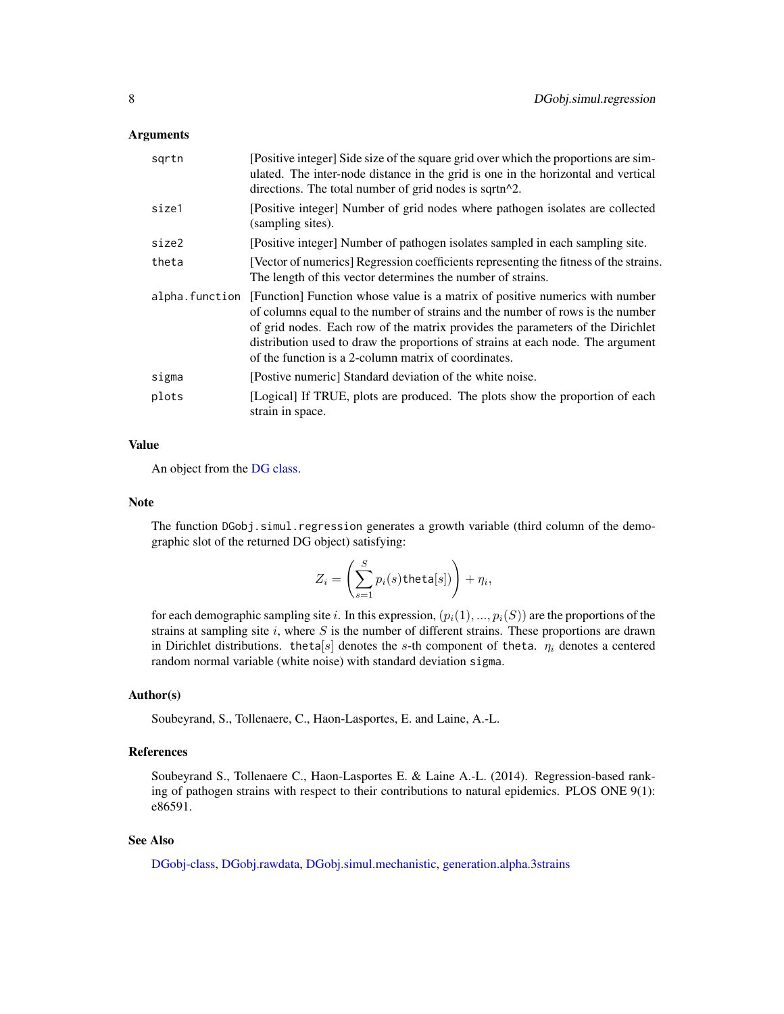#### <span id="page-7-0"></span>Arguments

| sqrtn          | [Positive integer] Side size of the square grid over which the proportions are sim-<br>ulated. The inter-node distance in the grid is one in the horizontal and vertical<br>directions. The total number of grid nodes is sqrtn^2.                                                                                                                                                          |
|----------------|---------------------------------------------------------------------------------------------------------------------------------------------------------------------------------------------------------------------------------------------------------------------------------------------------------------------------------------------------------------------------------------------|
| size1          | [Positive integer] Number of grid nodes where pathogen isolates are collected<br>(sampling sites).                                                                                                                                                                                                                                                                                          |
| size2          | [Positive integer] Number of pathogen isolates sampled in each sampling site.                                                                                                                                                                                                                                                                                                               |
| theta          | [Vector of numerics] Regression coefficients representing the fitness of the strains.<br>The length of this vector determines the number of strains.                                                                                                                                                                                                                                        |
| alpha.function | [Function] Function whose value is a matrix of positive numerics with number<br>of columns equal to the number of strains and the number of rows is the number<br>of grid nodes. Each row of the matrix provides the parameters of the Dirichlet<br>distribution used to draw the proportions of strains at each node. The argument<br>of the function is a 2-column matrix of coordinates. |
| sigma          | [Postive numeric] Standard deviation of the white noise.                                                                                                                                                                                                                                                                                                                                    |
| plots          | [Logical] If TRUE, plots are produced. The plots show the proportion of each<br>strain in space.                                                                                                                                                                                                                                                                                            |

# Value

An object from the [DG class.](#page-2-1)

#### Note

The function DGobj.simul.regression generates a growth variable (third column of the demographic slot of the returned DG object) satisfying:

$$
Z_i = \left(\sum_{s=1}^S p_i(s) \mathsf{theta}[s])\right) + \eta_i,
$$

for each demographic sampling site i. In this expression,  $(p_i(1), ..., p_i(S))$  are the proportions of the strains at sampling site  $i$ , where  $S$  is the number of different strains. These proportions are drawn in Dirichlet distributions. theta[s] denotes the s-th component of theta.  $\eta_i$  denotes a centered random normal variable (white noise) with standard deviation sigma.

### Author(s)

Soubeyrand, S., Tollenaere, C., Haon-Lasportes, E. and Laine, A.-L.

#### References

Soubeyrand S., Tollenaere C., Haon-Lasportes E. & Laine A.-L. (2014). Regression-based ranking of pathogen strains with respect to their contributions to natural epidemics. PLOS ONE 9(1): e86591.

# See Also

[DGobj-class,](#page-2-2) [DGobj.rawdata,](#page-3-1) [DGobj.simul.mechanistic,](#page-4-1) [generation.alpha.3strains](#page-8-1)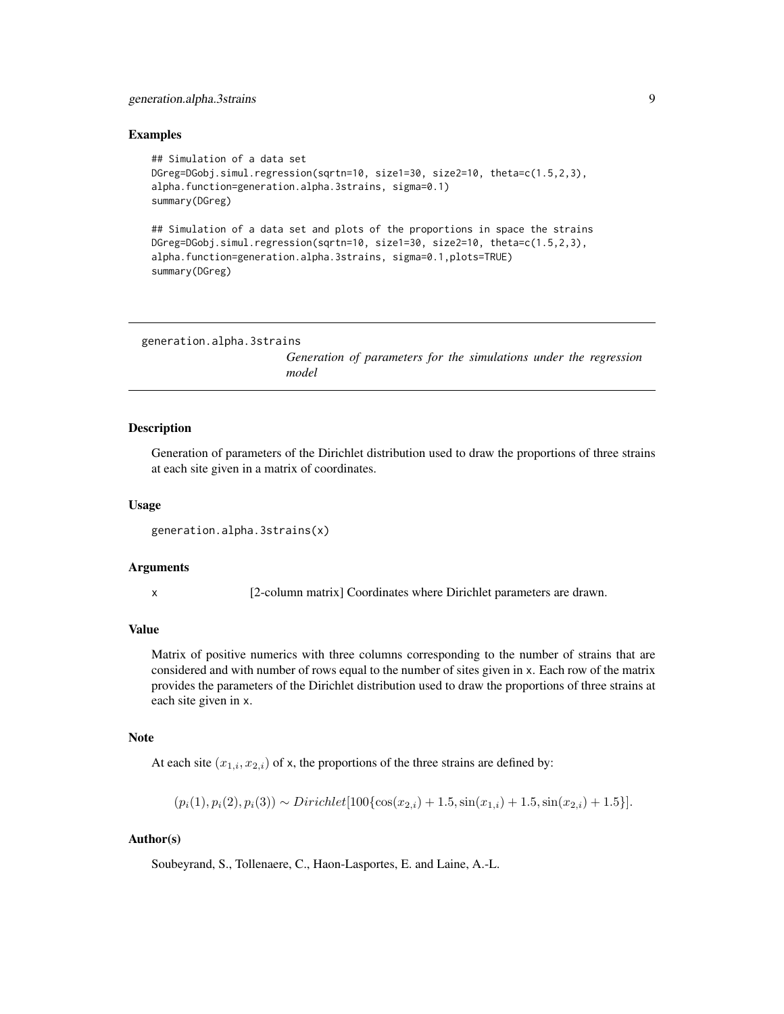# <span id="page-8-0"></span>generation.alpha.3strains 9

#### Examples

```
## Simulation of a data set
DGreg=DGobj.simul.regression(sqrtn=10, size1=30, size2=10, theta=c(1.5,2,3),
alpha.function=generation.alpha.3strains, sigma=0.1)
summary(DGreg)
## Simulation of a data set and plots of the proportions in space the strains
DGreg=DGobj.simul.regression(sqrtn=10, size1=30, size2=10, theta=c(1.5,2,3),
alpha.function=generation.alpha.3strains, sigma=0.1,plots=TRUE)
summary(DGreg)
```

```
generation.alpha.3strains
```
*Generation of parameters for the simulations under the regression model*

#### Description

Generation of parameters of the Dirichlet distribution used to draw the proportions of three strains at each site given in a matrix of coordinates.

#### Usage

```
generation.alpha.3strains(x)
```
#### Arguments

x [2-column matrix] Coordinates where Dirichlet parameters are drawn.

#### Value

Matrix of positive numerics with three columns corresponding to the number of strains that are considered and with number of rows equal to the number of sites given in x. Each row of the matrix provides the parameters of the Dirichlet distribution used to draw the proportions of three strains at each site given in x.

# Note

At each site  $(x_{1,i}, x_{2,i})$  of x, the proportions of the three strains are defined by:

$$
(p_i(1), p_i(2), p_i(3)) \sim Dirichlet[100\{\cos(x_{2,i}) + 1.5, \sin(x_{1,i}) + 1.5, \sin(x_{2,i}) + 1.5\}].
$$

# Author(s)

Soubeyrand, S., Tollenaere, C., Haon-Lasportes, E. and Laine, A.-L.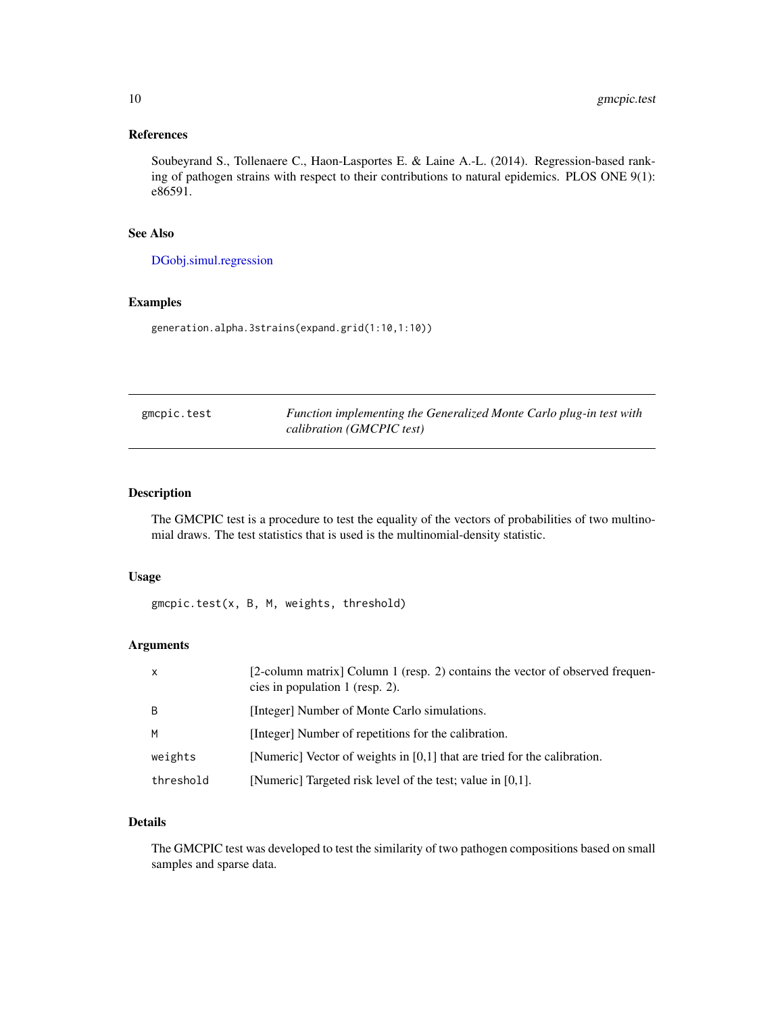# <span id="page-9-0"></span>References

Soubeyrand S., Tollenaere C., Haon-Lasportes E. & Laine A.-L. (2014). Regression-based ranking of pathogen strains with respect to their contributions to natural epidemics. PLOS ONE 9(1): e86591.

# See Also

[DGobj.simul.regression](#page-6-1)

# Examples

generation.alpha.3strains(expand.grid(1:10,1:10))

| gmcpic.test | Function implementing the Generalized Monte Carlo plug-in test with |
|-------------|---------------------------------------------------------------------|
|             | calibration (GMCPIC test)                                           |

# Description

The GMCPIC test is a procedure to test the equality of the vectors of probabilities of two multinomial draws. The test statistics that is used is the multinomial-density statistic.

# Usage

gmcpic.test(x, B, M, weights, threshold)

# Arguments

| $\mathsf{x}$ | [2-column matrix] Column 1 (resp. 2) contains the vector of observed frequen-<br>cies in population 1 (resp. 2). |
|--------------|------------------------------------------------------------------------------------------------------------------|
| B            | [Integer] Number of Monte Carlo simulations.                                                                     |
| M            | [Integer] Number of repetitions for the calibration.                                                             |
| weights      | [Numeric] Vector of weights in $[0,1]$ that are tried for the calibration.                                       |
| threshold    | [Numeric] Targeted risk level of the test; value in [0,1].                                                       |

# Details

The GMCPIC test was developed to test the similarity of two pathogen compositions based on small samples and sparse data.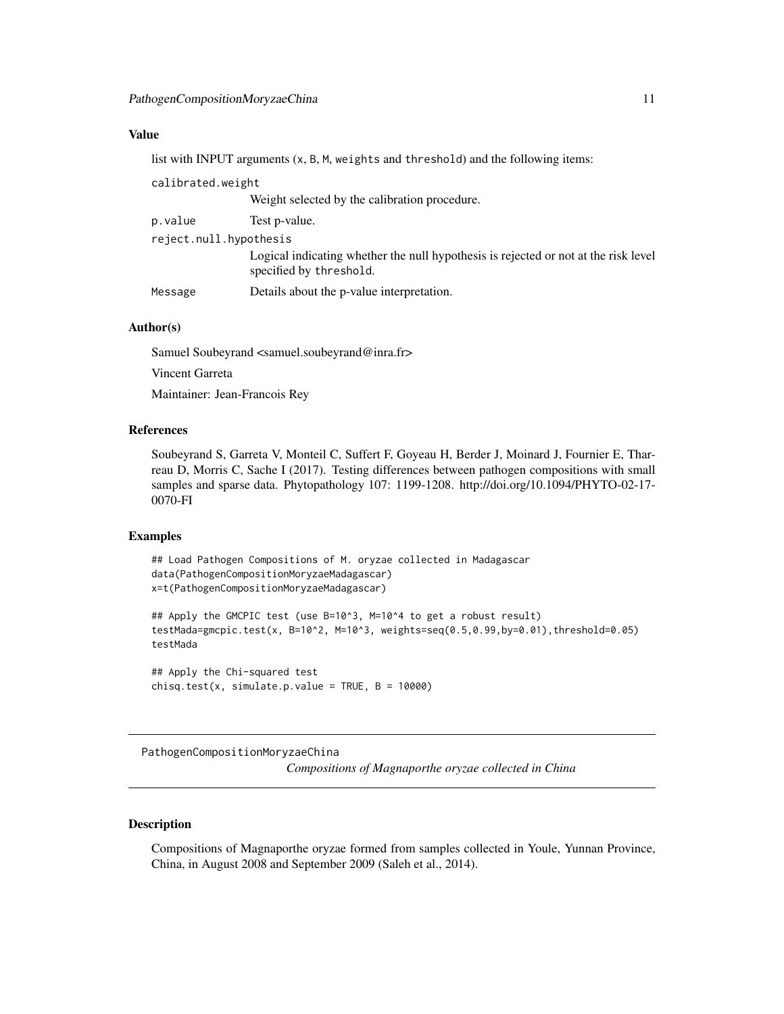# <span id="page-10-0"></span>Value

list with INPUT arguments (x, B, M, weights and threshold) and the following items:

| calibrated.weight      |                                                                                                                |
|------------------------|----------------------------------------------------------------------------------------------------------------|
|                        | Weight selected by the calibration procedure.                                                                  |
| p.value                | Test p-value.                                                                                                  |
| reject.null.hypothesis |                                                                                                                |
|                        | Logical indicating whether the null hypothesis is rejected or not at the risk level<br>specified by threshold. |
| Message                | Details about the p-value interpretation.                                                                      |

#### Author(s)

Samuel Soubeyrand <samuel.soubeyrand@inra.fr> Vincent Garreta

Maintainer: Jean-Francois Rey

# References

Soubeyrand S, Garreta V, Monteil C, Suffert F, Goyeau H, Berder J, Moinard J, Fournier E, Tharreau D, Morris C, Sache I (2017). Testing differences between pathogen compositions with small samples and sparse data. Phytopathology 107: 1199-1208. http://doi.org/10.1094/PHYTO-02-17- 0070-FI

### Examples

```
## Load Pathogen Compositions of M. oryzae collected in Madagascar
data(PathogenCompositionMoryzaeMadagascar)
x=t(PathogenCompositionMoryzaeMadagascar)
## Apply the GMCPIC test (use B=10^3, M=10^4 to get a robust result)
testMada=gmcpic.test(x, B=10^2, M=10^3, weights=seq(0.5,0.99,by=0.01),threshold=0.05)
testMada
## Apply the Chi-squared test
chisq.test(x, simulate.p.value = TRUE, B = 10000)
```
<span id="page-10-1"></span>PathogenCompositionMoryzaeChina

*Compositions of Magnaporthe oryzae collected in China*

# Description

Compositions of Magnaporthe oryzae formed from samples collected in Youle, Yunnan Province, China, in August 2008 and September 2009 (Saleh et al., 2014).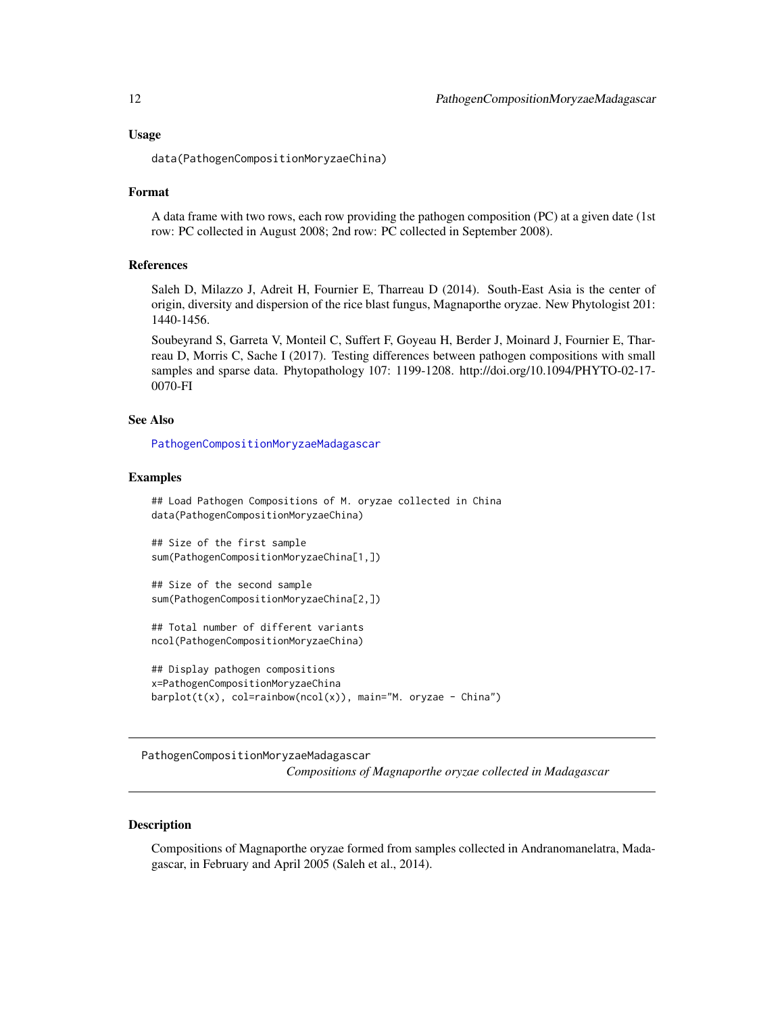<span id="page-11-0"></span>data(PathogenCompositionMoryzaeChina)

#### Format

A data frame with two rows, each row providing the pathogen composition (PC) at a given date (1st row: PC collected in August 2008; 2nd row: PC collected in September 2008).

#### References

Saleh D, Milazzo J, Adreit H, Fournier E, Tharreau D (2014). South-East Asia is the center of origin, diversity and dispersion of the rice blast fungus, Magnaporthe oryzae. New Phytologist 201: 1440-1456.

Soubeyrand S, Garreta V, Monteil C, Suffert F, Goyeau H, Berder J, Moinard J, Fournier E, Tharreau D, Morris C, Sache I (2017). Testing differences between pathogen compositions with small samples and sparse data. Phytopathology 107: 1199-1208. http://doi.org/10.1094/PHYTO-02-17- 0070-FI

#### See Also

[PathogenCompositionMoryzaeMadagascar](#page-11-1)

#### Examples

```
## Load Pathogen Compositions of M. oryzae collected in China
data(PathogenCompositionMoryzaeChina)
```
## Size of the first sample sum(PathogenCompositionMoryzaeChina[1,])

## Size of the second sample sum(PathogenCompositionMoryzaeChina[2,])

## Total number of different variants ncol(PathogenCompositionMoryzaeChina)

```
## Display pathogen compositions
x=PathogenCompositionMoryzaeChina
barplot(t(x), col=rainbow(ncol(x)), main="M. oryzae - China")
```
<span id="page-11-1"></span>PathogenCompositionMoryzaeMadagascar *Compositions of Magnaporthe oryzae collected in Madagascar*

#### Description

Compositions of Magnaporthe oryzae formed from samples collected in Andranomanelatra, Madagascar, in February and April 2005 (Saleh et al., 2014).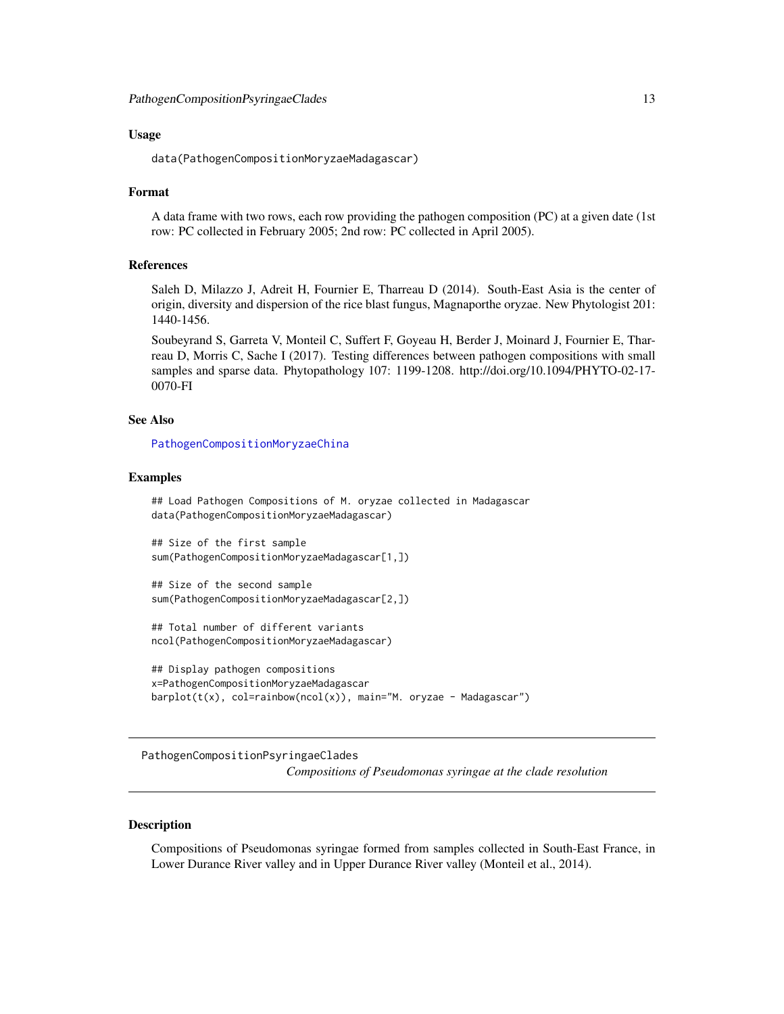<span id="page-12-0"></span>data(PathogenCompositionMoryzaeMadagascar)

#### Format

A data frame with two rows, each row providing the pathogen composition (PC) at a given date (1st row: PC collected in February 2005; 2nd row: PC collected in April 2005).

#### References

Saleh D, Milazzo J, Adreit H, Fournier E, Tharreau D (2014). South-East Asia is the center of origin, diversity and dispersion of the rice blast fungus, Magnaporthe oryzae. New Phytologist 201: 1440-1456.

Soubeyrand S, Garreta V, Monteil C, Suffert F, Goyeau H, Berder J, Moinard J, Fournier E, Tharreau D, Morris C, Sache I (2017). Testing differences between pathogen compositions with small samples and sparse data. Phytopathology 107: 1199-1208. http://doi.org/10.1094/PHYTO-02-17- 0070-FI

#### See Also

[PathogenCompositionMoryzaeChina](#page-10-1)

#### Examples

## Load Pathogen Compositions of M. oryzae collected in Madagascar data(PathogenCompositionMoryzaeMadagascar)

## Size of the first sample sum(PathogenCompositionMoryzaeMadagascar[1,])

## Size of the second sample sum(PathogenCompositionMoryzaeMadagascar[2,])

## Total number of different variants ncol(PathogenCompositionMoryzaeMadagascar)

```
## Display pathogen compositions
x=PathogenCompositionMoryzaeMadagascar
barplot(t(x), col=rainbow(ncol(x)), main="M. oryzae - Madagascar")
```
<span id="page-12-1"></span>PathogenCompositionPsyringaeClades *Compositions of Pseudomonas syringae at the clade resolution*

#### Description

Compositions of Pseudomonas syringae formed from samples collected in South-East France, in Lower Durance River valley and in Upper Durance River valley (Monteil et al., 2014).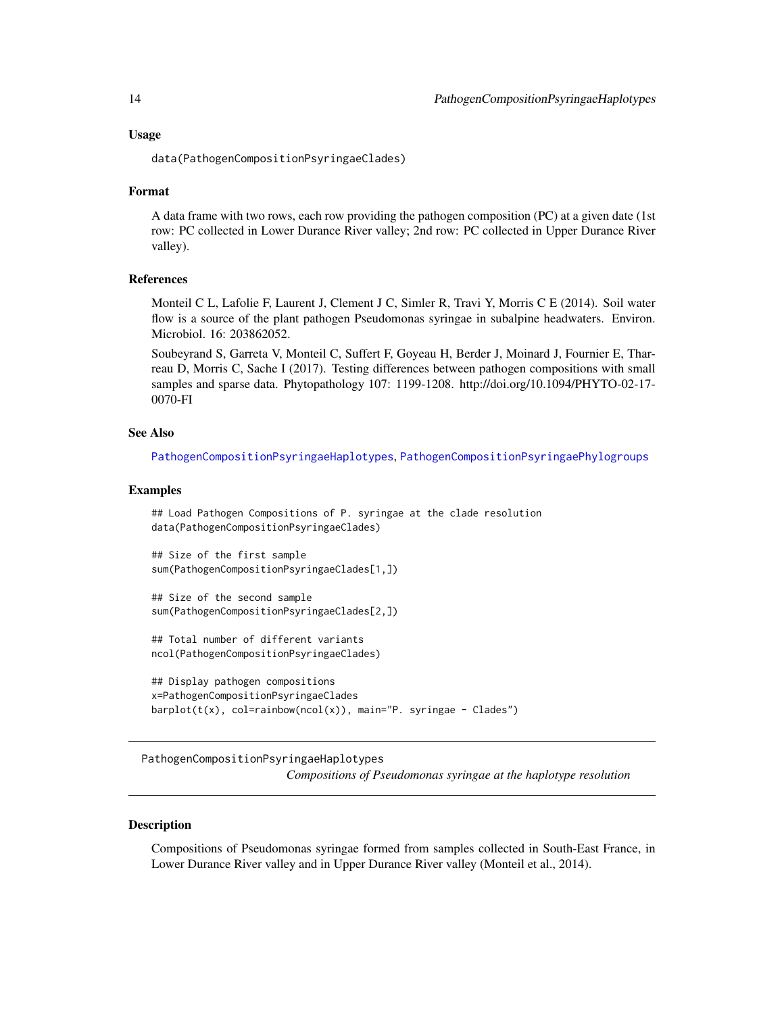<span id="page-13-0"></span>data(PathogenCompositionPsyringaeClades)

#### Format

A data frame with two rows, each row providing the pathogen composition (PC) at a given date (1st row: PC collected in Lower Durance River valley; 2nd row: PC collected in Upper Durance River valley).

#### References

Monteil C L, Lafolie F, Laurent J, Clement J C, Simler R, Travi Y, Morris C E (2014). Soil water flow is a source of the plant pathogen Pseudomonas syringae in subalpine headwaters. Environ. Microbiol. 16: 203862052.

Soubeyrand S, Garreta V, Monteil C, Suffert F, Goyeau H, Berder J, Moinard J, Fournier E, Tharreau D, Morris C, Sache I (2017). Testing differences between pathogen compositions with small samples and sparse data. Phytopathology 107: 1199-1208. http://doi.org/10.1094/PHYTO-02-17- 0070-FI

#### See Also

[PathogenCompositionPsyringaeHaplotypes](#page-13-1), [PathogenCompositionPsyringaePhylogroups](#page-14-1)

# Examples

```
## Load Pathogen Compositions of P. syringae at the clade resolution
data(PathogenCompositionPsyringaeClades)
```

```
## Size of the first sample
sum(PathogenCompositionPsyringaeClades[1,])
```

```
## Size of the second sample
sum(PathogenCompositionPsyringaeClades[2,])
```

```
## Total number of different variants
ncol(PathogenCompositionPsyringaeClades)
```

```
## Display pathogen compositions
x=PathogenCompositionPsyringaeClades
barplot(t(x), col=rainbow(ncol(x)), main="P. syringae - Clades")
```
<span id="page-13-1"></span>PathogenCompositionPsyringaeHaplotypes *Compositions of Pseudomonas syringae at the haplotype resolution*

#### Description

Compositions of Pseudomonas syringae formed from samples collected in South-East France, in Lower Durance River valley and in Upper Durance River valley (Monteil et al., 2014).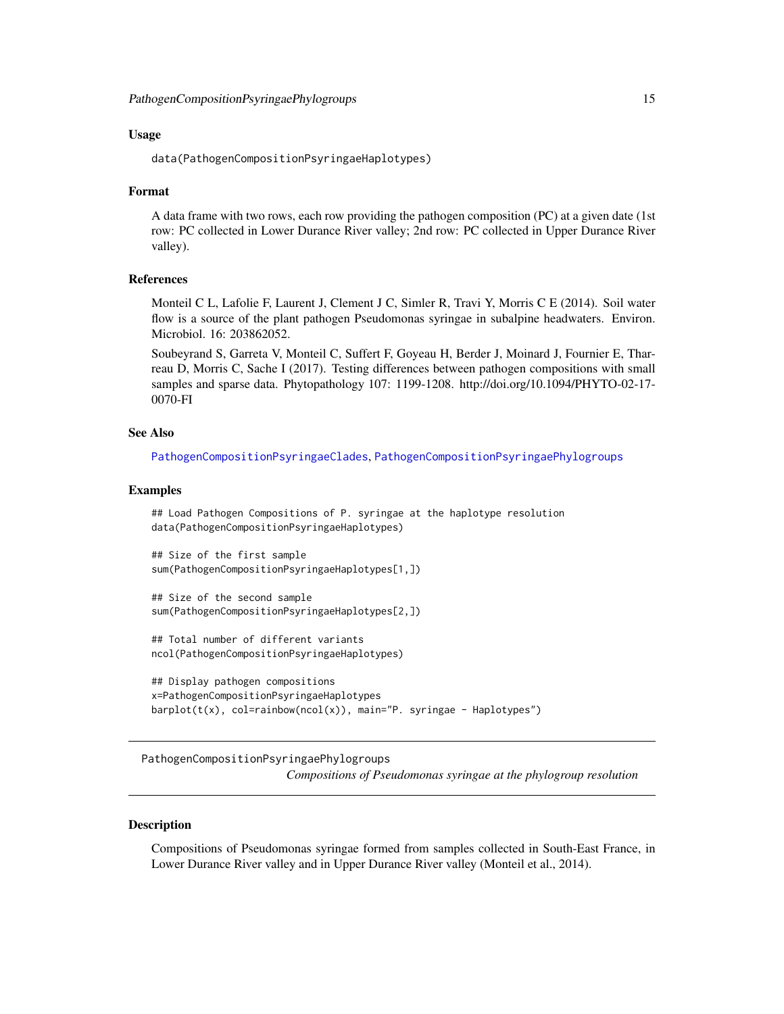<span id="page-14-0"></span>data(PathogenCompositionPsyringaeHaplotypes)

#### Format

A data frame with two rows, each row providing the pathogen composition (PC) at a given date (1st row: PC collected in Lower Durance River valley; 2nd row: PC collected in Upper Durance River valley).

#### References

Monteil C L, Lafolie F, Laurent J, Clement J C, Simler R, Travi Y, Morris C E (2014). Soil water flow is a source of the plant pathogen Pseudomonas syringae in subalpine headwaters. Environ. Microbiol. 16: 203862052.

Soubeyrand S, Garreta V, Monteil C, Suffert F, Goyeau H, Berder J, Moinard J, Fournier E, Tharreau D, Morris C, Sache I (2017). Testing differences between pathogen compositions with small samples and sparse data. Phytopathology 107: 1199-1208. http://doi.org/10.1094/PHYTO-02-17- 0070-FI

#### See Also

[PathogenCompositionPsyringaeClades](#page-12-1), [PathogenCompositionPsyringaePhylogroups](#page-14-1)

# Examples

## Load Pathogen Compositions of P. syringae at the haplotype resolution data(PathogenCompositionPsyringaeHaplotypes)

```
## Size of the first sample
sum(PathogenCompositionPsyringaeHaplotypes[1,])
```
## Size of the second sample sum(PathogenCompositionPsyringaeHaplotypes[2,])

## Total number of different variants ncol(PathogenCompositionPsyringaeHaplotypes)

```
## Display pathogen compositions
x=PathogenCompositionPsyringaeHaplotypes
barplot(t(x), col=rainbow(ncol(x)), main="P. syringae - Haplotypes")
```
<span id="page-14-1"></span>PathogenCompositionPsyringaePhylogroups *Compositions of Pseudomonas syringae at the phylogroup resolution*

#### Description

Compositions of Pseudomonas syringae formed from samples collected in South-East France, in Lower Durance River valley and in Upper Durance River valley (Monteil et al., 2014).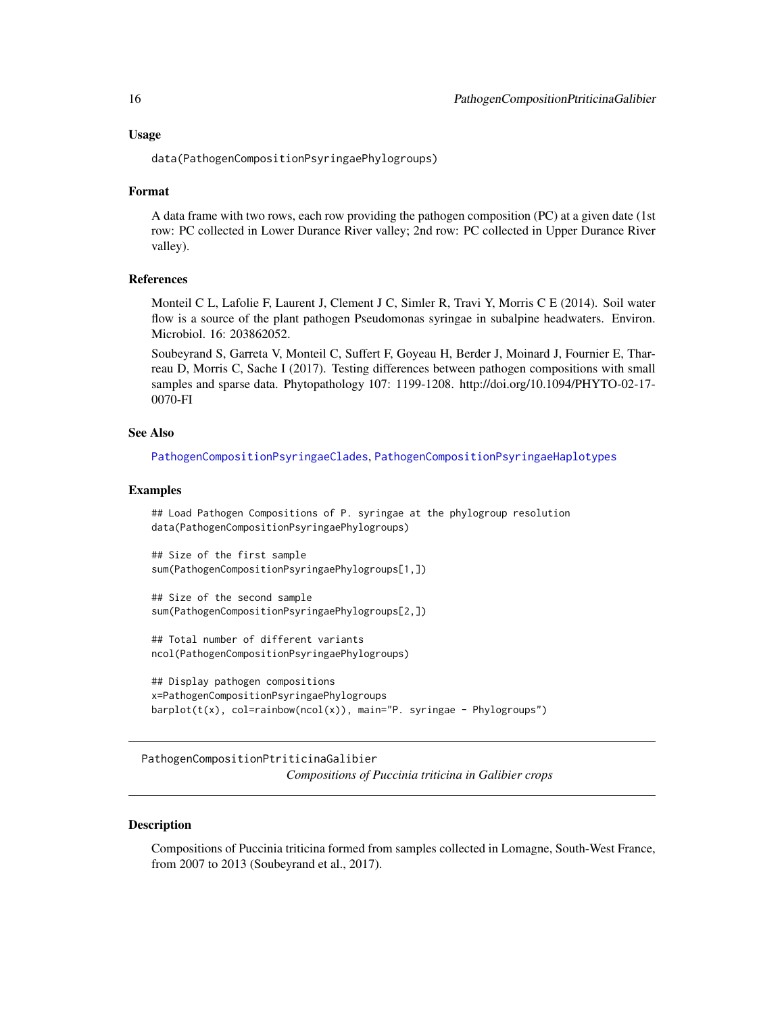<span id="page-15-0"></span>data(PathogenCompositionPsyringaePhylogroups)

#### Format

A data frame with two rows, each row providing the pathogen composition (PC) at a given date (1st row: PC collected in Lower Durance River valley; 2nd row: PC collected in Upper Durance River valley).

#### **References**

Monteil C L, Lafolie F, Laurent J, Clement J C, Simler R, Travi Y, Morris C E (2014). Soil water flow is a source of the plant pathogen Pseudomonas syringae in subalpine headwaters. Environ. Microbiol. 16: 203862052.

Soubeyrand S, Garreta V, Monteil C, Suffert F, Goyeau H, Berder J, Moinard J, Fournier E, Tharreau D, Morris C, Sache I (2017). Testing differences between pathogen compositions with small samples and sparse data. Phytopathology 107: 1199-1208. http://doi.org/10.1094/PHYTO-02-17- 0070-FI

#### See Also

[PathogenCompositionPsyringaeClades](#page-12-1), [PathogenCompositionPsyringaeHaplotypes](#page-13-1)

#### Examples

## Load Pathogen Compositions of P. syringae at the phylogroup resolution data(PathogenCompositionPsyringaePhylogroups)

## Size of the first sample sum(PathogenCompositionPsyringaePhylogroups[1,])

## Size of the second sample sum(PathogenCompositionPsyringaePhylogroups[2,])

## Total number of different variants ncol(PathogenCompositionPsyringaePhylogroups)

```
## Display pathogen compositions
x=PathogenCompositionPsyringaePhylogroups
barplot(t(x), col=rainbow(ncol(x)), main="P. syringae - Phylogroups")
```
<span id="page-15-1"></span>PathogenCompositionPtriticinaGalibier *Compositions of Puccinia triticina in Galibier crops*

#### Description

Compositions of Puccinia triticina formed from samples collected in Lomagne, South-West France, from 2007 to 2013 (Soubeyrand et al., 2017).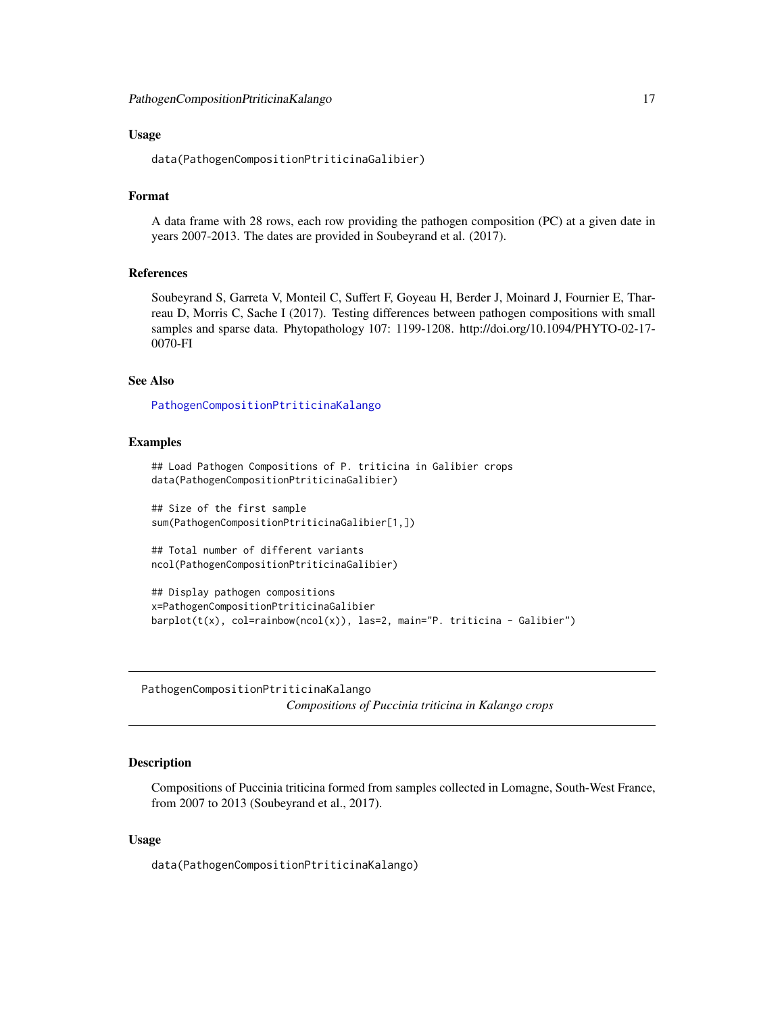<span id="page-16-0"></span>data(PathogenCompositionPtriticinaGalibier)

# Format

A data frame with 28 rows, each row providing the pathogen composition (PC) at a given date in years 2007-2013. The dates are provided in Soubeyrand et al. (2017).

#### References

Soubeyrand S, Garreta V, Monteil C, Suffert F, Goyeau H, Berder J, Moinard J, Fournier E, Tharreau D, Morris C, Sache I (2017). Testing differences between pathogen compositions with small samples and sparse data. Phytopathology 107: 1199-1208. http://doi.org/10.1094/PHYTO-02-17- 0070-FI

# See Also

[PathogenCompositionPtriticinaKalango](#page-16-1)

#### Examples

```
## Load Pathogen Compositions of P. triticina in Galibier crops
data(PathogenCompositionPtriticinaGalibier)
```

```
## Size of the first sample
sum(PathogenCompositionPtriticinaGalibier[1,])
```

```
## Total number of different variants
ncol(PathogenCompositionPtriticinaGalibier)
```

```
## Display pathogen compositions
x=PathogenCompositionPtriticinaGalibier
barplot(t(x), col=rainbow(ncol(x)), las=2, main="P. triticina - Galibier")
```
<span id="page-16-1"></span>PathogenCompositionPtriticinaKalango *Compositions of Puccinia triticina in Kalango crops*

#### Description

Compositions of Puccinia triticina formed from samples collected in Lomagne, South-West France, from 2007 to 2013 (Soubeyrand et al., 2017).

#### Usage

data(PathogenCompositionPtriticinaKalango)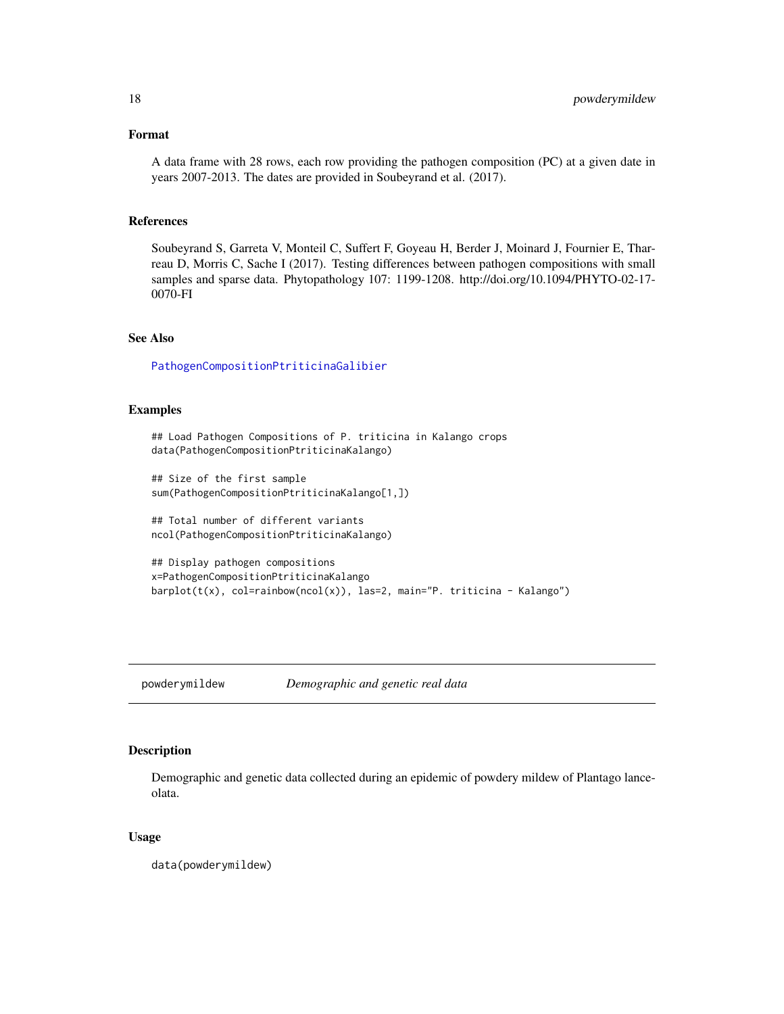# <span id="page-17-0"></span>Format

A data frame with 28 rows, each row providing the pathogen composition (PC) at a given date in years 2007-2013. The dates are provided in Soubeyrand et al. (2017).

# References

Soubeyrand S, Garreta V, Monteil C, Suffert F, Goyeau H, Berder J, Moinard J, Fournier E, Tharreau D, Morris C, Sache I (2017). Testing differences between pathogen compositions with small samples and sparse data. Phytopathology 107: 1199-1208. http://doi.org/10.1094/PHYTO-02-17- 0070-FI

# See Also

[PathogenCompositionPtriticinaGalibier](#page-15-1)

#### Examples

```
## Load Pathogen Compositions of P. triticina in Kalango crops
data(PathogenCompositionPtriticinaKalango)
```

```
## Size of the first sample
sum(PathogenCompositionPtriticinaKalango[1,])
```
## Total number of different variants ncol(PathogenCompositionPtriticinaKalango)

```
## Display pathogen compositions
x=PathogenCompositionPtriticinaKalango
barplot(t(x), col=rainbow(ncol(x)), las=2, main="P. triticina - Kalango")
```
powderymildew *Demographic and genetic real data*

#### Description

Demographic and genetic data collected during an epidemic of powdery mildew of Plantago lanceolata.

#### Usage

data(powderymildew)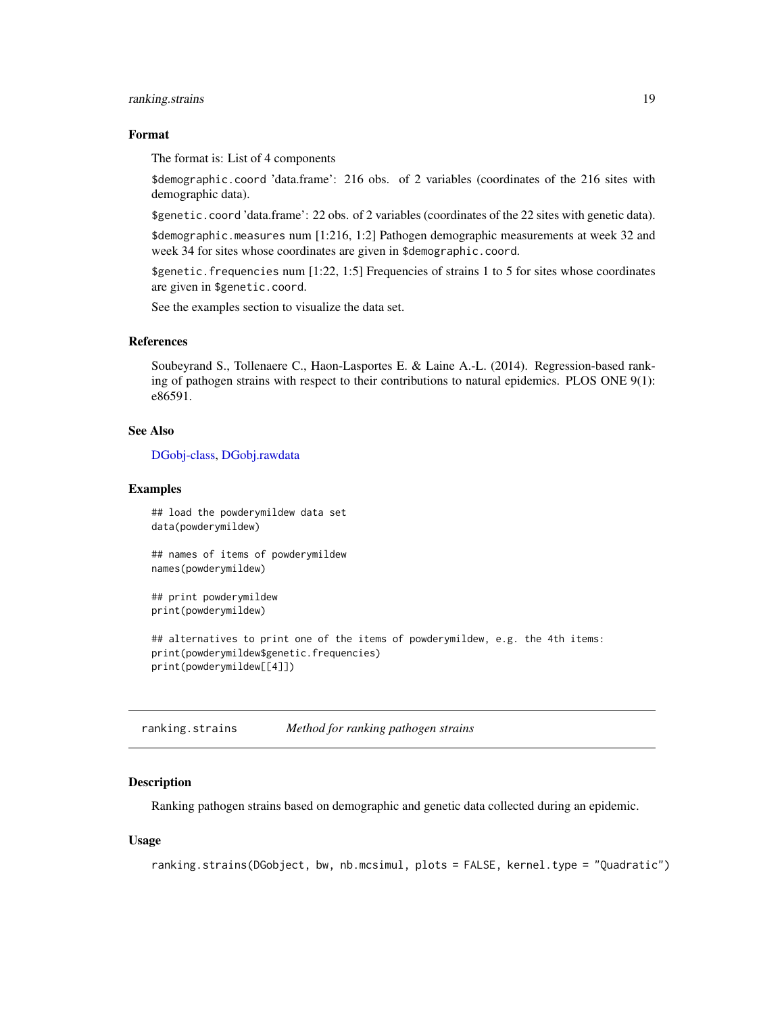# <span id="page-18-0"></span>ranking.strains 19

# Format

The format is: List of 4 components

\$demographic.coord 'data.frame': 216 obs. of 2 variables (coordinates of the 216 sites with demographic data).

\$genetic.coord 'data.frame': 22 obs. of 2 variables (coordinates of the 22 sites with genetic data).

\$demographic.measures num [1:216, 1:2] Pathogen demographic measurements at week 32 and week 34 for sites whose coordinates are given in \$demographic.coord.

\$genetic.frequencies num [1:22, 1:5] Frequencies of strains 1 to 5 for sites whose coordinates are given in \$genetic.coord.

See the examples section to visualize the data set.

#### References

Soubeyrand S., Tollenaere C., Haon-Lasportes E. & Laine A.-L. (2014). Regression-based ranking of pathogen strains with respect to their contributions to natural epidemics. PLOS ONE 9(1): e86591.

# See Also

[DGobj-class,](#page-2-2) [DGobj.rawdata](#page-3-1)

#### Examples

## load the powderymildew data set data(powderymildew)

## names of items of powderymildew names(powderymildew)

## print powderymildew print(powderymildew)

## alternatives to print one of the items of powderymildew, e.g. the 4th items: print(powderymildew\$genetic.frequencies) print(powderymildew[[4]])

<span id="page-18-1"></span>ranking.strains *Method for ranking pathogen strains*

#### **Description**

Ranking pathogen strains based on demographic and genetic data collected during an epidemic.

#### Usage

```
ranking.strains(DGobject, bw, nb.mcsimul, plots = FALSE, kernel.type = "Quadratic")
```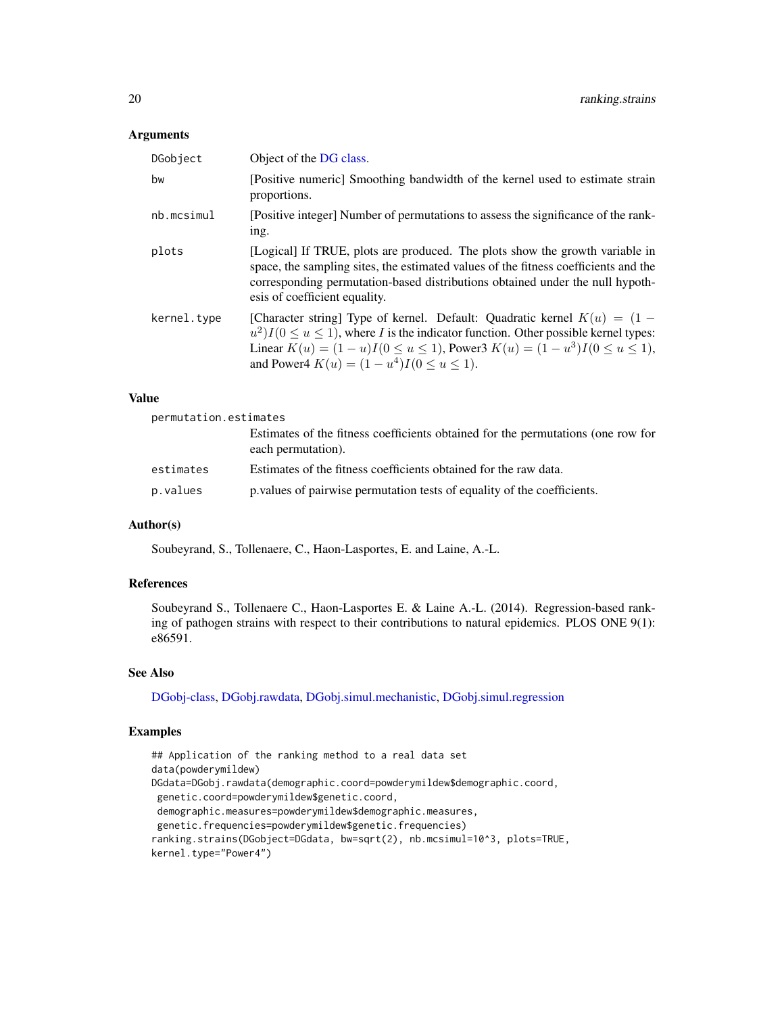#### Arguments

| DGobject    | Object of the DG class.                                                                                                                                                                                                                                                                                                |
|-------------|------------------------------------------------------------------------------------------------------------------------------------------------------------------------------------------------------------------------------------------------------------------------------------------------------------------------|
| bw          | [Positive numeric] Smoothing bandwidth of the kernel used to estimate strain<br>proportions.                                                                                                                                                                                                                           |
| nb.mcsimul  | [Positive integer] Number of permutations to assess the significance of the rank-<br>ing.                                                                                                                                                                                                                              |
| plots       | [Logical] If TRUE, plots are produced. The plots show the growth variable in<br>space, the sampling sites, the estimated values of the fitness coefficients and the<br>corresponding permutation-based distributions obtained under the null hypoth-<br>esis of coefficient equality.                                  |
| kernel.type | [Character string] Type of kernel. Default: Quadratic kernel $K(u) = (1 -$<br>$u^2$ ) $I(0 \le u \le 1)$ , where I is the indicator function. Other possible kernel types:<br>Linear $K(u) = (1 - u)I(0 \le u \le 1)$ , Power3 $K(u) = (1 - u^3)I(0 \le u \le 1)$ ,<br>and Power4 $K(u) = (1 - u^4)I(0 \le u \le 1)$ . |

#### Value

| permutation.estimates |                                                                                                        |
|-----------------------|--------------------------------------------------------------------------------------------------------|
|                       | Estimates of the fitness coefficients obtained for the permutations (one row for<br>each permutation). |
| estimates             | Estimates of the fitness coefficients obtained for the raw data.                                       |
| p.values              | p. values of pairwise permutation tests of equality of the coefficients.                               |

# Author(s)

Soubeyrand, S., Tollenaere, C., Haon-Lasportes, E. and Laine, A.-L.

# References

Soubeyrand S., Tollenaere C., Haon-Lasportes E. & Laine A.-L. (2014). Regression-based ranking of pathogen strains with respect to their contributions to natural epidemics. PLOS ONE 9(1): e86591.

# See Also

[DGobj-class,](#page-2-2) [DGobj.rawdata,](#page-3-1) [DGobj.simul.mechanistic,](#page-4-1) [DGobj.simul.regression](#page-6-1)

# Examples

```
## Application of the ranking method to a real data set
data(powderymildew)
DGdata=DGobj.rawdata(demographic.coord=powderymildew$demographic.coord,
genetic.coord=powderymildew$genetic.coord,
demographic.measures=powderymildew$demographic.measures,
genetic.frequencies=powderymildew$genetic.frequencies)
ranking.strains(DGobject=DGdata, bw=sqrt(2), nb.mcsimul=10^3, plots=TRUE,
kernel.type="Power4")
```
<span id="page-19-0"></span>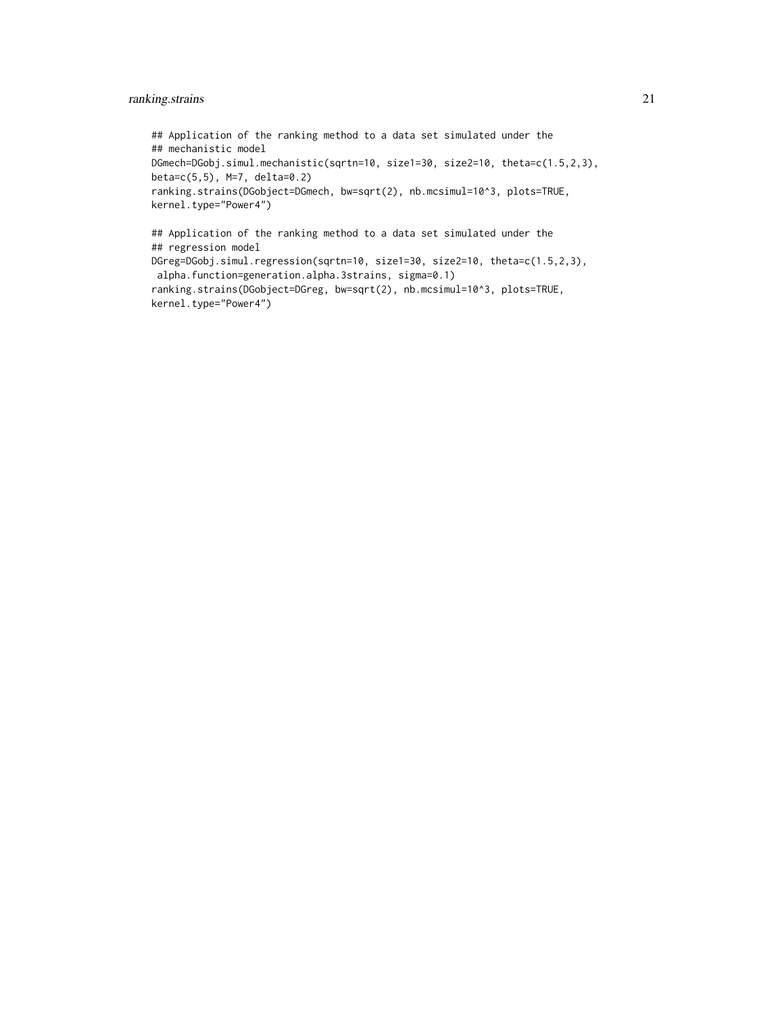# ranking.strains 21

## Application of the ranking method to a data set simulated under the ## mechanistic model DGmech=DGobj.simul.mechanistic(sqrtn=10, size1=30, size2=10, theta=c(1.5,2,3), beta=c(5,5), M=7, delta=0.2) ranking.strains(DGobject=DGmech, bw=sqrt(2), nb.mcsimul=10^3, plots=TRUE, kernel.type="Power4") ## Application of the ranking method to a data set simulated under the ## regression model DGreg=DGobj.simul.regression(sqrtn=10, size1=30, size2=10, theta=c(1.5,2,3), alpha.function=generation.alpha.3strains, sigma=0.1) ranking.strains(DGobject=DGreg, bw=sqrt(2), nb.mcsimul=10^3, plots=TRUE,

```
kernel.type="Power4")
```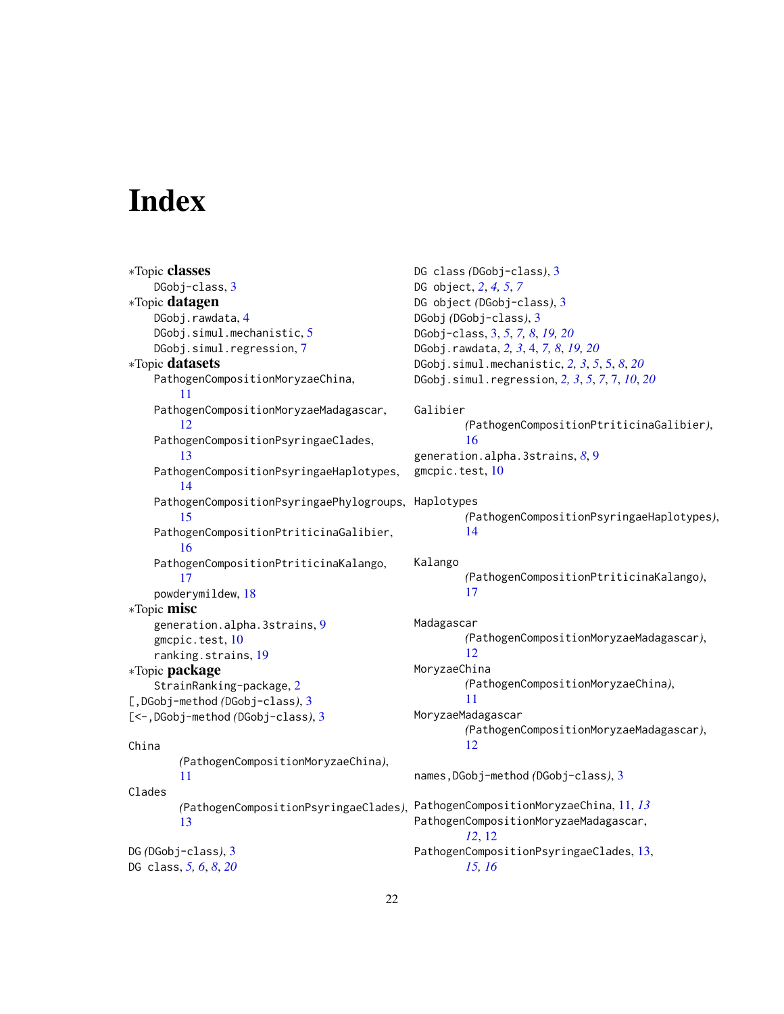# <span id="page-21-0"></span>**Index**

```
∗Topic classes
    DGobj-class, 3
∗Topic datagen
    DGobj.rawdata, 4
    DGobj.simul.mechanistic, 5
    DGobj.simul.regression, 7
∗Topic datasets
    PathogenCompositionMoryzaeChina,
        11
    PathogenCompositionMoryzaeMadagascar,
        12
    PathogenCompositionPsyringaeClades,
        13
    PathogenCompositionPsyringaeHaplotypes,
        14
    PathogenCompositionPsyringaePhylogroups,
Haplotypes
        15
    PathogenCompositionPtriticinaGalibier,
        16
    PathogenCompositionPtriticinaKalango,
        17
    powderymildew, 18
∗Topic misc
    generation.alpha.3strains, 9
    gmcpic.test, 10
    ranking.strains, 19
∗Topic package
    StrainRanking-package, 2
[,DGobj-method (DGobj-class), 3
[<-,DGobj-method (DGobj-class), 3
China
        (PathogenCompositionMoryzaeChina),
        11
Clades
        (PathogenCompositionPsyringaeClades),
        13
DG (DGobj-class), 3
DG class, 5, 6, 8, 20
                                                DG class (DGobj-class), 3
                                                DG object, 2, 4, 5, 7
                                                DG object (DGobj-class), 3
                                                DGobj (DGobj-class), 3
                                                DGobj-class, 3, 5, 7, 8, 19, 20
                                                DGobj.rawdata, 2, 3, 4, 7, 8, 19, 20
                                                DGobj.simul.mechanistic, 2, 3, 5, 5, 8, 20
                                                DGobj.simul.regression, 2, 3, 5, 7, 7, 10, 20
                                                Galibier
                                                         (PathogenCompositionPtriticinaGalibier),
                                                         16
                                                generation.alpha.3strains, 8, 9
                                                gmcpic.test, 10
                                                         (PathogenCompositionPsyringaeHaplotypes),
                                                         14
                                                Kalango
                                                         (PathogenCompositionPtriticinaKalango),
                                                         17
                                                Madagascar
                                                         (PathogenCompositionMoryzaeMadagascar),
                                                         12
                                                MoryzaeChina
                                                         (PathogenCompositionMoryzaeChina),
                                                         11
                                                MoryzaeMadagascar
                                                         (PathogenCompositionMoryzaeMadagascar),
                                                         12
                                                names,DGobj-method (DGobj-class), 3
                                                PathogenCompositionMoryzaeChina, 11, 13
                                                PathogenCompositionMoryzaeMadagascar,
                                                         12, 12
                                                PathogenCompositionPsyringaeClades, 13,
                                                        15, 16
```